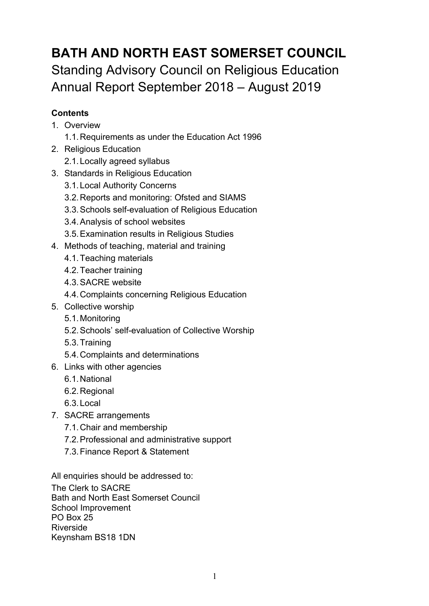# **BATH AND NORTH EAST SOMERSET COUNCIL** Standing Advisory Council on Religious Education Annual Report September 2018 – August 2019

### **Contents**

- 1. Overview
	- 1.1.Requirements as under the Education Act 1996
- 2. Religious Education
	- 2.1.Locally agreed syllabus
- 3. Standards in Religious Education
	- 3.1.Local Authority Concerns
	- 3.2.Reports and monitoring: Ofsted and SIAMS
	- 3.3.Schools self-evaluation of Religious Education
	- 3.4.Analysis of school websites
	- 3.5.Examination results in Religious Studies
- 4. Methods of teaching, material and training
	- 4.1.Teaching materials
	- 4.2.Teacher training
	- 4.3.SACRE website
	- 4.4.Complaints concerning Religious Education
- 5. Collective worship
	- 5.1.Monitoring
	- 5.2.Schools' self-evaluation of Collective Worship
	- 5.3.Training
	- 5.4.Complaints and determinations
- 6. Links with other agencies
	- 6.1.National
	- 6.2.Regional
	- 6.3.Local
- 7. SACRE arrangements
	- 7.1.Chair and membership
	- 7.2.Professional and administrative support
	- 7.3.Finance Report & Statement

All enquiries should be addressed to:

The Clerk to SACRE Bath and North East Somerset Council School Improvement PO Box 25 Riverside Keynsham BS18 1DN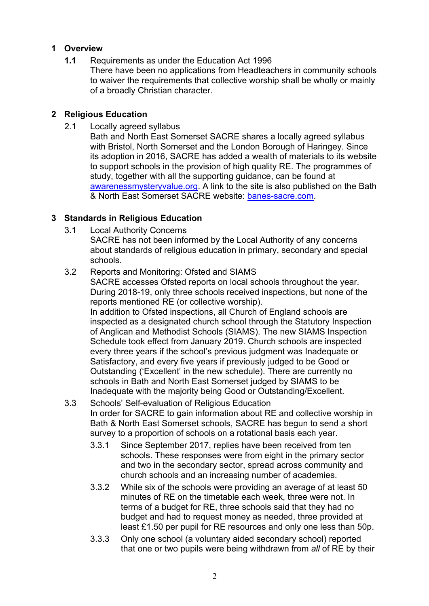#### **1 Overview**

- **1.1** Requirements as under the Education Act 1996
	- There have been no applications from Headteachers in community schools to waiver the requirements that collective worship shall be wholly or mainly of a broadly Christian character.

#### **2 Religious Education**

2.1 Locally agreed syllabus

Bath and North East Somerset SACRE shares a locally agreed syllabus with Bristol, North Somerset and the London Borough of Haringey. Since its adoption in 2016, SACRE has added a wealth of materials to its website to support schools in the provision of high quality RE. The programmes of study, together with all the supporting guidance, can be found at awarenessmysteryvalue.org. A link to the site is also published on the Bath & North East Somerset SACRE website: banes-sacre.com.

#### **3 Standards in Religious Education**

3.1 Local Authority Concerns

SACRE has not been informed by the Local Authority of any concerns about standards of religious education in primary, secondary and special schools.

- 3.2 Reports and Monitoring: Ofsted and SIAMS SACRE accesses Ofsted reports on local schools throughout the year. During 2018-19, only three schools received inspections, but none of the reports mentioned RE (or collective worship). In addition to Ofsted inspections, all Church of England schools are inspected as a designated church school through the Statutory Inspection of Anglican and Methodist Schools (SIAMS). The new SIAMS Inspection Schedule took effect from January 2019. Church schools are inspected every three years if the school's previous judgment was Inadequate or Satisfactory, and every five years if previously judged to be Good or Outstanding ('Excellent' in the new schedule). There are currently no schools in Bath and North East Somerset judged by SIAMS to be Inadequate with the majority being Good or Outstanding/Excellent.
- 3.3 Schools' Self-evaluation of Religious Education In order for SACRE to gain information about RE and collective worship in Bath & North East Somerset schools, SACRE has begun to send a short survey to a proportion of schools on a rotational basis each year.
	- 3.3.1 Since September 2017, replies have been received from ten schools. These responses were from eight in the primary sector and two in the secondary sector, spread across community and church schools and an increasing number of academies.
	- 3.3.2 While six of the schools were providing an average of at least 50 minutes of RE on the timetable each week, three were not. In terms of a budget for RE, three schools said that they had no budget and had to request money as needed, three provided at least £1.50 per pupil for RE resources and only one less than 50p.
	- 3.3.3 Only one school (a voluntary aided secondary school) reported that one or two pupils were being withdrawn from *all* of RE by their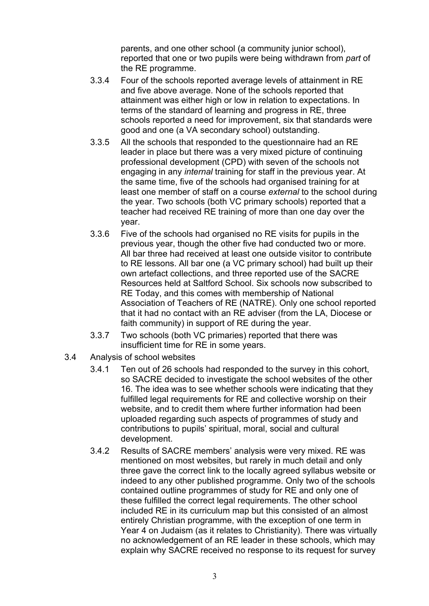parents, and one other school (a community junior school), reported that one or two pupils were being withdrawn from *part* of the RE programme.

- 3.3.4 Four of the schools reported average levels of attainment in RE and five above average. None of the schools reported that attainment was either high or low in relation to expectations. In terms of the standard of learning and progress in RE, three schools reported a need for improvement, six that standards were good and one (a VA secondary school) outstanding.
- 3.3.5 All the schools that responded to the questionnaire had an RE leader in place but there was a very mixed picture of continuing professional development (CPD) with seven of the schools not engaging in any *internal* training for staff in the previous year. At the same time, five of the schools had organised training for at least one member of staff on a course *external* to the school during the year. Two schools (both VC primary schools) reported that a teacher had received RE training of more than one day over the year.
- 3.3.6 Five of the schools had organised no RE visits for pupils in the previous year, though the other five had conducted two or more. All bar three had received at least one outside visitor to contribute to RE lessons. All bar one (a VC primary school) had built up their own artefact collections, and three reported use of the SACRE Resources held at Saltford School. Six schools now subscribed to RE Today, and this comes with membership of National Association of Teachers of RE (NATRE). Only one school reported that it had no contact with an RE adviser (from the LA, Diocese or faith community) in support of RE during the year.
- 3.3.7 Two schools (both VC primaries) reported that there was insufficient time for RE in some years.
- 3.4 Analysis of school websites
	- 3.4.1 Ten out of 26 schools had responded to the survey in this cohort, so SACRE decided to investigate the school websites of the other 16. The idea was to see whether schools were indicating that they fulfilled legal requirements for RE and collective worship on their website, and to credit them where further information had been uploaded regarding such aspects of programmes of study and contributions to pupils' spiritual, moral, social and cultural development.
	- 3.4.2 Results of SACRE members' analysis were very mixed. RE was mentioned on most websites, but rarely in much detail and only three gave the correct link to the locally agreed syllabus website or indeed to any other published programme. Only two of the schools contained outline programmes of study for RE and only one of these fulfilled the correct legal requirements. The other school included RE in its curriculum map but this consisted of an almost entirely Christian programme, with the exception of one term in Year 4 on Judaism (as it relates to Christianity). There was virtually no acknowledgement of an RE leader in these schools, which may explain why SACRE received no response to its request for survey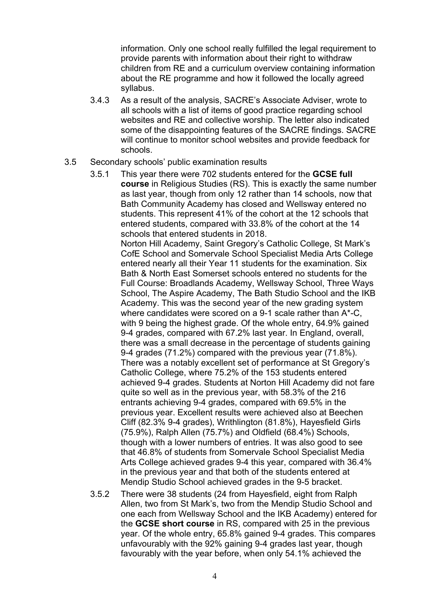information. Only one school really fulfilled the legal requirement to provide parents with information about their right to withdraw children from RE and a curriculum overview containing information about the RE programme and how it followed the locally agreed syllabus.

3.4.3 As a result of the analysis, SACRE's Associate Adviser, wrote to all schools with a list of items of good practice regarding school websites and RE and collective worship. The letter also indicated some of the disappointing features of the SACRE findings. SACRE will continue to monitor school websites and provide feedback for schools.

#### 3.5 Secondary schools' public examination results

- 3.5.1 This year there were 702 students entered for the **GCSE full course** in Religious Studies (RS). This is exactly the same number as last year, though from only 12 rather than 14 schools, now that Bath Community Academy has closed and Wellsway entered no students. This represent 41% of the cohort at the 12 schools that entered students, compared with 33.8% of the cohort at the 14 schools that entered students in 2018. Norton Hill Academy, Saint Gregory's Catholic College, St Mark's CofE School and Somervale School Specialist Media Arts College entered nearly all their Year 11 students for the examination. Six Bath & North East Somerset schools entered no students for the Full Course: Broadlands Academy, Wellsway School, Three Ways School, The Aspire Academy, The Bath Studio School and the IKB Academy. This was the second year of the new grading system where candidates were scored on a 9-1 scale rather than A\*-C, with 9 being the highest grade. Of the whole entry, 64.9% gained 9-4 grades, compared with 67.2% last year. In England, overall, there was a small decrease in the percentage of students gaining 9-4 grades (71.2%) compared with the previous year (71.8%). There was a notably excellent set of performance at St Gregory's Catholic College, where 75.2% of the 153 students entered achieved 9-4 grades. Students at Norton Hill Academy did not fare quite so well as in the previous year, with 58.3% of the 216 entrants achieving 9-4 grades, compared with 69.5% in the previous year. Excellent results were achieved also at Beechen Cliff (82.3% 9-4 grades), Writhlington (81.8%), Hayesfield Girls (75.9%), Ralph Allen (75.7%) and Oldfield (68.4%) Schools, though with a lower numbers of entries. It was also good to see that 46.8% of students from Somervale School Specialist Media Arts College achieved grades 9-4 this year, compared with 36.4% in the previous year and that both of the students entered at Mendip Studio School achieved grades in the 9-5 bracket.
- 3.5.2 There were 38 students (24 from Hayesfield, eight from Ralph Allen, two from St Mark's, two from the Mendip Studio School and one each from Wellsway School and the IKB Academy) entered for the **GCSE short course** in RS, compared with 25 in the previous year. Of the whole entry, 65.8% gained 9-4 grades. This compares unfavourably with the 92% gaining 9-4 grades last year, though favourably with the year before, when only 54.1% achieved the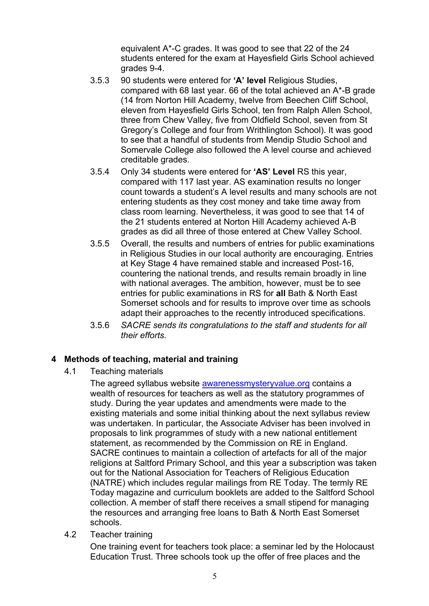equivalent A\*-C grades. It was good to see that 22 of the 24 students entered for the exam at Hayesfield Girls School achieved grades 9-4.

- 3.5.3 90 students were entered for **'A' level** Religious Studies, compared with 68 last year. 66 of the total achieved an A\*-B grade (14 from Norton Hill Academy, twelve from Beechen Cliff School, eleven from Hayesfield Girls School, ten from Ralph Allen School, three from Chew Valley, five from Oldfield School, seven from St Gregory's College and four from Writhlington School). It was good to see that a handful of students from Mendip Studio School and Somervale College also followed the A level course and achieved creditable grades.
- 3.5.4 Only 34 students were entered for **'AS' Level** RS this year, compared with 117 last year. AS examination results no longer count towards a student's A level results and many schools are not entering students as they cost money and take time away from class room learning. Nevertheless, it was good to see that 14 of the 21 students entered at Norton Hill Academy achieved A-B grades as did all three of those entered at Chew Valley School.
- 3.5.5 Overall, the results and numbers of entries for public examinations in Religious Studies in our local authority are encouraging. Entries at Key Stage 4 have remained stable and increased Post-16, countering the national trends, and results remain broadly in line with national averages. The ambition, however, must be to see entries for public examinations in RS for **all** Bath & North East Somerset schools and for results to improve over time as schools adapt their approaches to the recently introduced specifications.
- 3.5.6 *SACRE sends its congratulations to the staff and students for all their efforts.*

#### **4 Methods of teaching, material and training**

4.1 Teaching materials

The agreed syllabus website awarenessmysteryvalue.org contains a wealth of resources for teachers as well as the statutory programmes of study. During the year updates and amendments were made to the existing materials and some initial thinking about the next syllabus review was undertaken. In particular, the Associate Adviser has been involved in proposals to link programmes of study with a new national entitlement statement, as recommended by the Commission on RE in England. SACRE continues to maintain a collection of artefacts for all of the major religions at Saltford Primary School, and this year a subscription was taken out for the National Association for Teachers of Religious Education (NATRE) which includes regular mailings from RE Today. The termly RE Today magazine and curriculum booklets are added to the Saltford School collection. A member of staff there receives a small stipend for managing the resources and arranging free loans to Bath & North East Somerset schools.

4.2 Teacher training

One training event for teachers took place: a seminar led by the Holocaust Education Trust. Three schools took up the offer of free places and the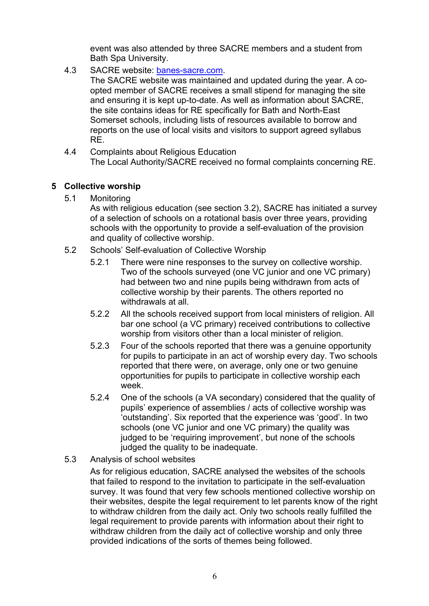event was also attended by three SACRE members and a student from Bath Spa University.

4.3 SACRE website: banes-sacre.com.

The SACRE website was maintained and updated during the year. A coopted member of SACRE receives a small stipend for managing the site and ensuring it is kept up-to-date. As well as information about SACRE, the site contains ideas for RE specifically for Bath and North-East Somerset schools, including lists of resources available to borrow and reports on the use of local visits and visitors to support agreed syllabus RE.

4.4 Complaints about Religious Education The Local Authority/SACRE received no formal complaints concerning RE.

#### **5 Collective worship**

5.1 Monitoring

As with religious education (see section 3.2), SACRE has initiated a survey of a selection of schools on a rotational basis over three years, providing schools with the opportunity to provide a self-evaluation of the provision and quality of collective worship.

- 5.2 Schools' Self-evaluation of Collective Worship
	- 5.2.1 There were nine responses to the survey on collective worship. Two of the schools surveyed (one VC junior and one VC primary) had between two and nine pupils being withdrawn from acts of collective worship by their parents. The others reported no withdrawals at all.
	- 5.2.2 All the schools received support from local ministers of religion. All bar one school (a VC primary) received contributions to collective worship from visitors other than a local minister of religion.
	- 5.2.3 Four of the schools reported that there was a genuine opportunity for pupils to participate in an act of worship every day. Two schools reported that there were, on average, only one or two genuine opportunities for pupils to participate in collective worship each week.
	- 5.2.4 One of the schools (a VA secondary) considered that the quality of pupils' experience of assemblies / acts of collective worship was 'outstanding'. Six reported that the experience was 'good'. In two schools (one VC junior and one VC primary) the quality was judged to be 'requiring improvement', but none of the schools judged the quality to be inadequate.

#### 5.3 Analysis of school websites

As for religious education, SACRE analysed the websites of the schools that failed to respond to the invitation to participate in the self-evaluation survey. It was found that very few schools mentioned collective worship on their websites, despite the legal requirement to let parents know of the right to withdraw children from the daily act. Only two schools really fulfilled the legal requirement to provide parents with information about their right to withdraw children from the daily act of collective worship and only three provided indications of the sorts of themes being followed.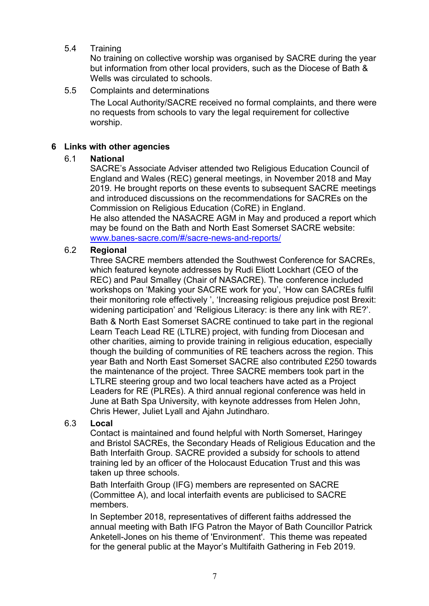#### 5.4 Training

No training on collective worship was organised by SACRE during the year but information from other local providers, such as the Diocese of Bath & Wells was circulated to schools.

#### 5.5 Complaints and determinations

The Local Authority/SACRE received no formal complaints, and there were no requests from schools to vary the legal requirement for collective worship.

#### **6 Links with other agencies**

#### 6.1 **National**

SACRE's Associate Adviser attended two Religious Education Council of England and Wales (REC) general meetings, in November 2018 and May 2019. He brought reports on these events to subsequent SACRE meetings and introduced discussions on the recommendations for SACREs on the Commission on Religious Education (CoRE) in England.

He also attended the NASACRE AGM in May and produced a report which may be found on the Bath and North East Somerset SACRE website: www.banes-sacre.com/#/sacre-news-and-reports/

#### 6.2 **Regional**

Three SACRE members attended the Southwest Conference for SACREs, which featured keynote addresses by Rudi Eliott Lockhart (CEO of the REC) and Paul Smalley (Chair of NASACRE). The conference included workshops on 'Making your SACRE work for you', 'How can SACREs fulfil their monitoring role effectively ', 'Increasing religious prejudice post Brexit: widening participation' and 'Religious Literacy: is there any link with RE?'. Bath & North East Somerset SACRE continued to take part in the regional Learn Teach Lead RE (LTLRE) project, with funding from Diocesan and other charities, aiming to provide training in religious education, especially though the building of communities of RE teachers across the region. This year Bath and North East Somerset SACRE also contributed £250 towards the maintenance of the project. Three SACRE members took part in the LTLRE steering group and two local teachers have acted as a Project Leaders for RE (PLREs). A third annual regional conference was held in June at Bath Spa University, with keynote addresses from Helen John, Chris Hewer, Juliet Lyall and Ajahn Jutindharo.

#### 6.3 **Local**

Contact is maintained and found helpful with North Somerset, Haringey and Bristol SACREs, the Secondary Heads of Religious Education and the Bath Interfaith Group. SACRE provided a subsidy for schools to attend training led by an officer of the Holocaust Education Trust and this was taken up three schools.

Bath Interfaith Group (IFG) members are represented on SACRE (Committee A), and local interfaith events are publicised to SACRE members.

In September 2018, representatives of different faiths addressed the annual meeting with Bath IFG Patron the Mayor of Bath Councillor Patrick Anketell-Jones on his theme of 'Environment'. This theme was repeated for the general public at the Mayor's Multifaith Gathering in Feb 2019.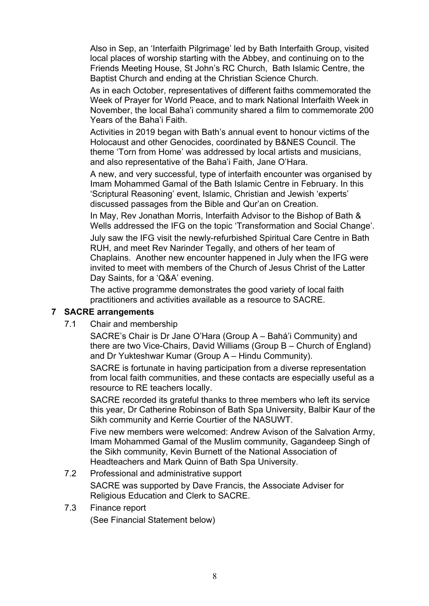Also in Sep, an 'Interfaith Pilgrimage' led by Bath Interfaith Group, visited local places of worship starting with the Abbey, and continuing on to the Friends Meeting House, St John's RC Church, Bath Islamic Centre, the Baptist Church and ending at the Christian Science Church.

As in each October, representatives of different faiths commemorated the Week of Prayer for World Peace, and to mark National Interfaith Week in November, the local Baha'i community shared a film to commemorate 200 Years of the Baha'i Faith.

Activities in 2019 began with Bath's annual event to honour victims of the Holocaust and other Genocides, coordinated by B&NES Council. The theme 'Torn from Home' was addressed by local artists and musicians, and also representative of the Baha'i Faith, Jane O'Hara.

A new, and very successful, type of interfaith encounter was organised by Imam Mohammed Gamal of the Bath Islamic Centre in February. In this 'Scriptural Reasoning' event, Islamic, Christian and Jewish 'experts' discussed passages from the Bible and Qur'an on Creation.

In May, Rev Jonathan Morris, Interfaith Advisor to the Bishop of Bath & Wells addressed the IFG on the topic 'Transformation and Social Change'.

July saw the IFG visit the newly-refurbished Spiritual Care Centre in Bath RUH, and meet Rev Narinder Tegally, and others of her team of Chaplains. Another new encounter happened in July when the IFG were invited to meet with members of the Church of Jesus Christ of the Latter Day Saints, for a 'Q&A' evening.

The active programme demonstrates the good variety of local faith practitioners and activities available as a resource to SACRE.

#### **7 SACRE arrangements**

7.1 Chair and membership

SACRE's Chair is Dr Jane O'Hara (Group A – Bahá'i Community) and there are two Vice-Chairs, David Williams (Group B – Church of England) and Dr Yukteshwar Kumar (Group A – Hindu Community).

SACRE is fortunate in having participation from a diverse representation from local faith communities, and these contacts are especially useful as a resource to RE teachers locally.

SACRE recorded its grateful thanks to three members who left its service this year, Dr Catherine Robinson of Bath Spa University, Balbir Kaur of the Sikh community and Kerrie Courtier of the NASUWT.

Five new members were welcomed: Andrew Avison of the Salvation Army, Imam Mohammed Gamal of the Muslim community, Gagandeep Singh of the Sikh community, Kevin Burnett of the National Association of Headteachers and Mark Quinn of Bath Spa University.

- 7.2 Professional and administrative support SACRE was supported by Dave Francis, the Associate Adviser for Religious Education and Clerk to SACRE.
- 7.3 Finance report (See Financial Statement below)